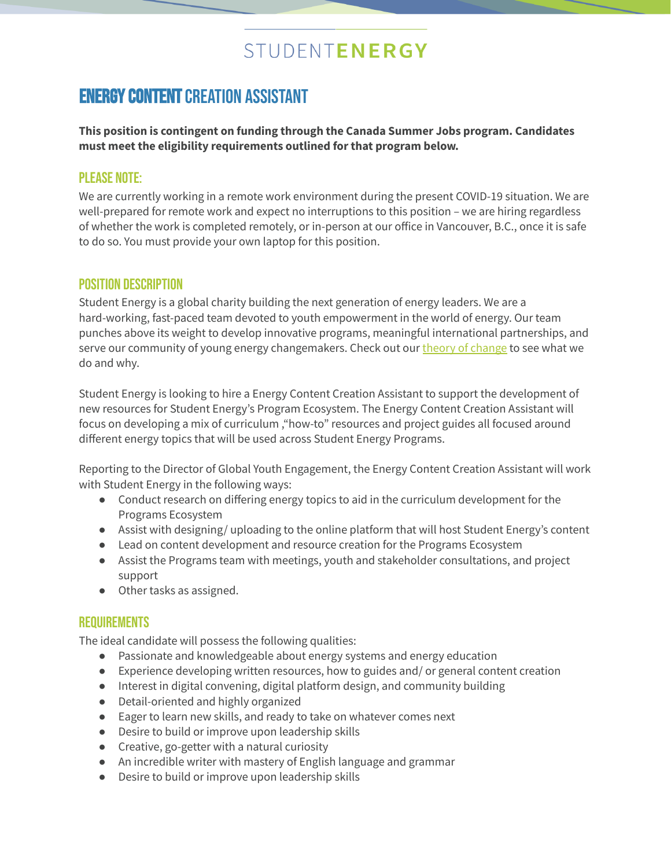# STUDENTENERGY

## **ENERGY CONTENT CREATION ASSISTANT**

**This position is contingent on funding through the Canada Summer Jobs program. Candidates must meet the eligibility requirements outlined for that program below.**

#### **PI FASE NOTE:**

We are currently working in a remote work environment during the present COVID-19 situation. We are well-prepared for remote work and expect no interruptions to this position – we are hiring regardless of whether the work is completed remotely, or in-person at our office in Vancouver, B.C., once it is safe to do so. You must provide your own laptop for this position.

### Position Description

Student Energy is a global charity building the next generation of energy leaders. We are a hard-working, fast-paced team devoted to youth empowerment in the world of energy. Our team punches above its weight to develop innovative programs, meaningful international partnerships, and serve our community of young energy [change](https://studentenergy.org/about/theory-of-change/)makers. Check out our theory of change to see what we do and why.

Student Energy is looking to hire a Energy Content Creation Assistant to support the development of new resources for Student Energy's Program Ecosystem. The Energy Content Creation Assistant will focus on developing a mix of curriculum ,"how-to" resources and project guides all focused around different energy topics that will be used across Student Energy Programs.

Reporting to the Director of Global Youth Engagement, the Energy Content Creation Assistant will work with Student Energy in the following ways:

- Conduct research on differing energy topics to aid in the curriculum development for the Programs Ecosystem
- Assist with designing/ uploading to the online platform that will host Student Energy's content
- Lead on content development and resource creation for the Programs Ecosystem
- Assist the Programs team with meetings, youth and stakeholder consultations, and project support
- Other tasks as assigned.

### **REQUIREMENTS**

The ideal candidate will possess the following qualities:

- Passionate and knowledgeable about energy systems and energy education
- Experience developing written resources, how to guides and/ or general content creation
- Interest in digital convening, digital platform design, and community building
- Detail-oriented and highly organized
- Eager to learn new skills, and ready to take on whatever comes next
- Desire to build or improve upon leadership skills
- Creative, go-getter with a natural curiosity
- An incredible writer with mastery of English language and grammar
- Desire to build or improve upon leadership skills